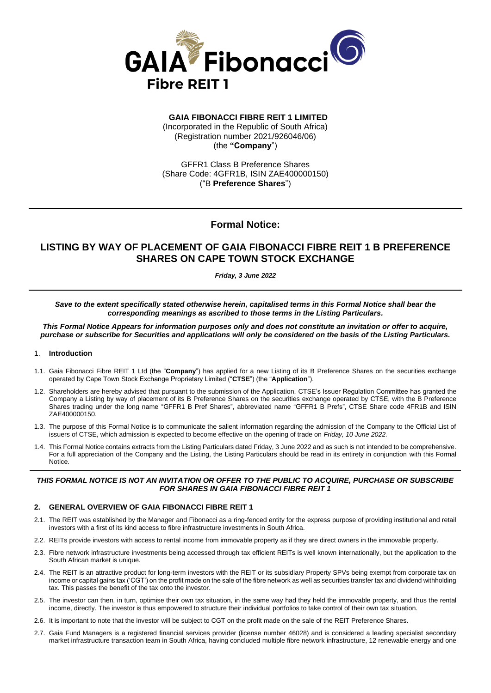

# **GAIA FIBONACCI FIBRE REIT 1 LIMITED**

(Incorporated in the Republic of South Africa) (Registration number 2021/926046/06) (the **"Company**")

GFFR1 Class B Preference Shares (Share Code: 4GFR1B, ISIN ZAE400000150) ("B **Preference Shares**")

# **Formal Notice:**

# **LISTING BY WAY OF PLACEMENT OF GAIA FIBONACCI FIBRE REIT 1 B PREFERENCE SHARES ON CAPE TOWN STOCK EXCHANGE**

*Friday, 3 June 2022*

*Save to the extent specifically stated otherwise herein, capitalised terms in this Formal Notice shall bear the corresponding meanings as ascribed to those terms in the Listing Particulars.* 

*This Formal Notice Appears for information purposes only and does not constitute an invitation or offer to acquire, purchase or subscribe for Securities and applications will only be considered on the basis of the Listing Particulars.*

#### 1. **Introduction**

- 1.1. Gaia Fibonacci Fibre REIT 1 Ltd (the "**Company**") has applied for a new Listing of its B Preference Shares on the securities exchange operated by Cape Town Stock Exchange Proprietary Limited ("**CTSE**") (the "**Application**").
- 1.2. Shareholders are hereby advised that pursuant to the submission of the Application, CTSE's Issuer Regulation Committee has granted the Company a Listing by way of placement of its B Preference Shares on the securities exchange operated by CTSE, with the B Preference Shares trading under the long name "GFFR1 B Pref Shares", abbreviated name "GFFR1 B Prefs", CTSE Share code 4FR1B and ISIN ZAE400000150.
- 1.3. The purpose of this Formal Notice is to communicate the salient information regarding the admission of the Company to the Official List of issuers of CTSE, which admission is expected to become effective on the opening of trade on *Friday, 10 June 2022.*
- 1.4. This Formal Notice contains extracts from the Listing Particulars dated Friday, 3 June 2022 and as such is not intended to be comprehensive. For a full appreciation of the Company and the Listing, the Listing Particulars should be read in its entirety in conjunction with this Formal Notice.

### *THIS FORMAL NOTICE IS NOT AN INVITATION OR OFFER TO THE PUBLIC TO ACQUIRE, PURCHASE OR SUBSCRIBE FOR SHARES IN GAIA FIBONACCI FIBRE REIT 1*

#### **2. GENERAL OVERVIEW OF GAIA FIBONACCI FIBRE REIT 1**

- 2.1. The REIT was established by the Manager and Fibonacci as a ring-fenced entity for the express purpose of providing institutional and retail investors with a first of its kind access to fibre infrastructure investments in South Africa.
- 2.2. REITs provide investors with access to rental income from immovable property as if they are direct owners in the immovable property.
- 2.3. Fibre network infrastructure investments being accessed through tax efficient REITs is well known internationally, but the application to the South African market is unique.
- 2.4. The REIT is an attractive product for long-term investors with the REIT or its subsidiary Property SPVs being exempt from corporate tax on income or capital gains tax ('CGT') on the profit made on the sale of the fibre network as well as securities transfer tax and dividend withholding tax. This passes the benefit of the tax onto the investor.
- 2.5. The investor can then, in turn, optimise their own tax situation, in the same way had they held the immovable property, and thus the rental income, directly. The investor is thus empowered to structure their individual portfolios to take control of their own tax situation.
- 2.6. It is important to note that the investor will be subject to CGT on the profit made on the sale of the REIT Preference Shares.
- 2.7. Gaia Fund Managers is a registered financial services provider (license number 46028) and is considered a leading specialist secondary market infrastructure transaction team in South Africa, having concluded multiple fibre network infrastructure, 12 renewable energy and one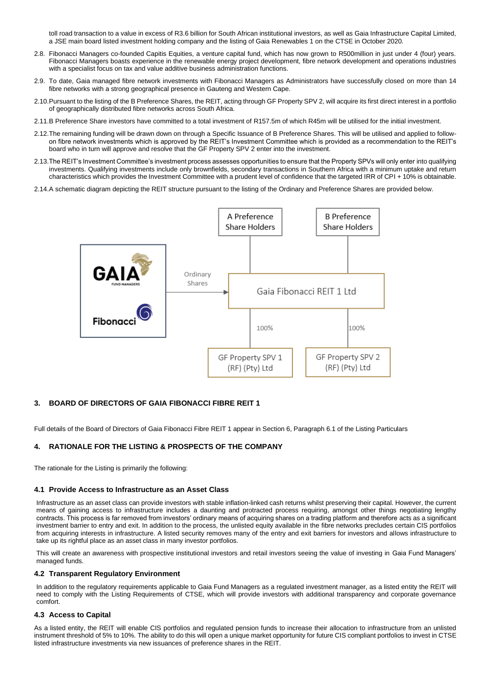toll road transaction to a value in excess of R3.6 billion for South African institutional investors, as well as Gaia Infrastructure Capital Limited, a JSE main board listed investment holding company and the listing of Gaia Renewables 1 on the CTSE in October 2020.

- 2.8. Fibonacci Managers co-founded Capitis Equities, a venture capital fund, which has now grown to R500million in just under 4 (four) years. Fibonacci Managers boasts experience in the renewable energy project development, fibre network development and operations industries with a specialist focus on tax and value additive business administration functions.
- 2.9. To date, Gaia managed fibre network investments with Fibonacci Managers as Administrators have successfully closed on more than 14 fibre networks with a strong geographical presence in Gauteng and Western Cape.
- 2.10.Pursuant to the listing of the B Preference Shares, the REIT, acting through GF Property SPV 2, will acquire its first direct interest in a portfolio of geographically distributed fibre networks across South Africa.
- 2.11.B Preference Share investors have committed to a total investment of R157.5m of which R45m will be utilised for the initial investment.
- 2.12.The remaining funding will be drawn down on through a Specific Issuance of B Preference Shares. This will be utilised and applied to followon fibre network investments which is approved by the REIT's Investment Committee which is provided as a recommendation to the REIT's board who in turn will approve and resolve that the GF Property SPV 2 enter into the investment.
- 2.13.The REIT's Investment Committee's investment process assesses opportunities to ensure that the Property SPVs will only enter into qualifying investments. Qualifying investments include only brownfields, secondary transactions in Southern Africa with a minimum uptake and return characteristics which provides the Investment Committee with a prudent level of confidence that the targeted IRR of CPI + 10% is obtainable.
- 2.14.A schematic diagram depicting the REIT structure pursuant to the listing of the Ordinary and Preference Shares are provided below.



### **3. BOARD OF DIRECTORS OF GAIA FIBONACCI FIBRE REIT 1**

Full details of the Board of Directors of Gaia Fibonacci Fibre REIT 1 appear in Section 6, Paragraph 6.1 of the Listing Particulars

### **4. RATIONALE FOR THE LISTING & PROSPECTS OF THE COMPANY**

The rationale for the Listing is primarily the following:

#### **4.1 Provide Access to Infrastructure as an Asset Class**

Infrastructure as an asset class can provide investors with stable inflation-linked cash returns whilst preserving their capital. However, the current means of gaining access to infrastructure includes a daunting and protracted process requiring, amongst other things negotiating lengthy contracts. This process is far removed from investors' ordinary means of acquiring shares on a trading platform and therefore acts as a significant investment barrier to entry and exit. In addition to the process, the unlisted equity available in the fibre networks precludes certain CIS portfolios from acquiring interests in infrastructure. A listed security removes many of the entry and exit barriers for investors and allows infrastructure to take up its rightful place as an asset class in many investor portfolios.

This will create an awareness with prospective institutional investors and retail investors seeing the value of investing in Gaia Fund Managers' managed funds.

### **4.2 Transparent Regulatory Environment**

In addition to the regulatory requirements applicable to Gaia Fund Managers as a regulated investment manager, as a listed entity the REIT will need to comply with the Listing Requirements of CTSE, which will provide investors with additional transparency and corporate governance comfort.

#### **4.3 Access to Capital**

As a listed entity, the REIT will enable CIS portfolios and regulated pension funds to increase their allocation to infrastructure from an unlisted instrument threshold of 5% to 10%. The ability to do this will open a unique market opportunity for future CIS compliant portfolios to invest in CTSE listed infrastructure investments via new issuances of preference shares in the REIT.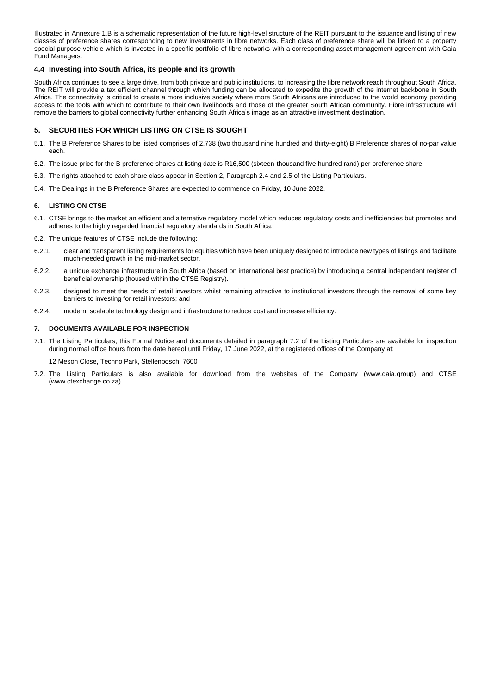Illustrated in Annexure 1.B is a schematic representation of the future high-level structure of the REIT pursuant to the issuance and listing of new classes of preference shares corresponding to new investments in fibre networks. Each class of preference share will be linked to a property special purpose vehicle which is invested in a specific portfolio of fibre networks with a corresponding asset management agreement with Gaia Fund Managers.

#### **4.4 Investing into South Africa, its people and its growth**

South Africa continues to see a large drive, from both private and public institutions, to increasing the fibre network reach throughout South Africa. The REIT will provide a tax efficient channel through which funding can be allocated to expedite the growth of the internet backbone in South Africa. The connectivity is critical to create a more inclusive society where more South Africans are introduced to the world economy providing access to the tools with which to contribute to their own livelihoods and those of the greater South African community. Fibre infrastructure will remove the barriers to global connectivity further enhancing South Africa's image as an attractive investment destination.

#### **5. SECURITIES FOR WHICH LISTING ON CTSE IS SOUGHT**

- 5.1. The B Preference Shares to be listed comprises of 2,738 (two thousand nine hundred and thirty-eight) B Preference shares of no-par value each.
- 5.2. The issue price for the B preference shares at listing date is R16,500 (sixteen-thousand five hundred rand) per preference share.
- 5.3. The rights attached to each share class appear in Section 2, Paragraph 2.4 and 2.5 of the Listing Particulars.
- 5.4. The Dealings in the B Preference Shares are expected to commence on Friday, 10 June 2022.

#### **6. LISTING ON CTSE**

- 6.1. CTSE brings to the market an efficient and alternative regulatory model which reduces regulatory costs and inefficiencies but promotes and adheres to the highly regarded financial regulatory standards in South Africa.
- 6.2. The unique features of CTSE include the following:
- 6.2.1. clear and transparent listing requirements for equities which have been uniquely designed to introduce new types of listings and facilitate much-needed growth in the mid-market sector.
- 6.2.2. a unique exchange infrastructure in South Africa (based on international best practice) by introducing a central independent register of beneficial ownership (housed within the CTSE Registry).
- 6.2.3. designed to meet the needs of retail investors whilst remaining attractive to institutional investors through the removal of some key barriers to investing for retail investors; and
- 6.2.4. modern, scalable technology design and infrastructure to reduce cost and increase efficiency.

#### **7. DOCUMENTS AVAILABLE FOR INSPECTION**

7.1. The Listing Particulars, this Formal Notice and documents detailed in paragraph 7.2 of the Listing Particulars are available for inspection during normal office hours from the date hereof until Friday, 17 June 2022, at the registered offices of the Company at:

12 Meson Close, Techno Park, Stellenbosch, 7600

7.2. The Listing Particulars is also available for download from the websites of the Company (www.gaia.group) and CTSE (www.ctexchange.co.za).